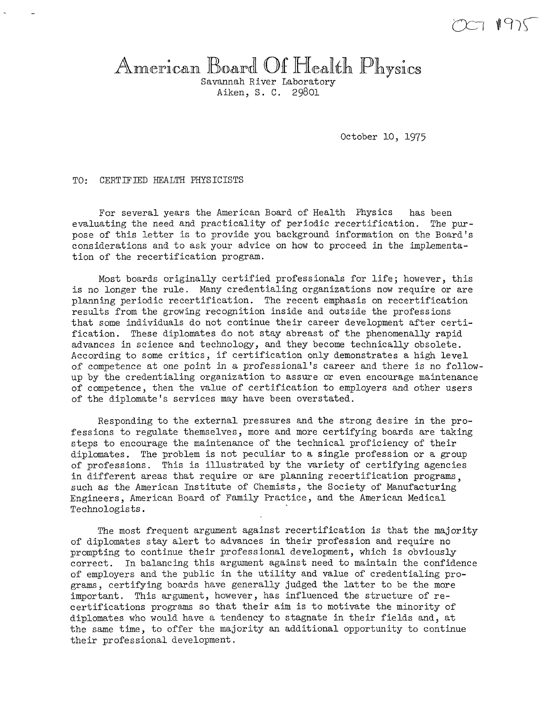# American Board Of Health Physics

Aiken, S. C. 29801

October 10, 1975

TO: CERTJFIED HEALTH PHYSICISTS

For several years the American Board of Health Physics has been evaluating the need and practicality of periodic recertification. The pur*pose* of this letter is to provide you background information on the Board's considerations and to ask your advice on how to proceed in the implementation of the recertification program.

Most boards originally certified professionals for life; however, this is no longer the rule. Many credentialing organizations now require or are planning periodic recertification. The recent emphasis on recertification results from the growing recognition inside and outside the professions that some individuals do not continue their career development after certification. These diplomates do not stay abreast of the phenomenally rapid advances in science and technology, and they become technically obsolete. According to some critics, if certification only demonstrates a high level of competence at one point in a professional's career and there is no followup by the credentialing organization to assure or even encourage maintenance of competence, then the value of certification to employers and other users of the diplomate's services may have been overstated.

Responding to the external pressures and the strong desire in the professions to regulate themselves, more and more certifying boards are taking steps to encourage the maintenance of the technical proficiency of their diplomates. The problem is not peculiar to a single profession or a group of professions. This is illustrated by the variety of certifying agencies in different areas that require or are planning recertification programs, such as the American Institute of Chemists, the Society of Manufacturing Engineers, American Board of Family Practice, and the American Medical Technologists.

The most frequent argument against recertification is that the majority of diplomates stay alert to advances in their profession and require no prompting to continue their professional development, which is obviously correct. In balancing this argument against need to maintain the confidence of employers and the public in the utility and value of credentialing programs, certifying boards have generally judged the latter to be the more important. This argument, however, has influenced the structure of recertifications programs so that their aim is to motivate the minority of diplomates who would have a tendency to stagnate in their fields and, at the same time, to offer the majority an additional opportunity to continue their professional development.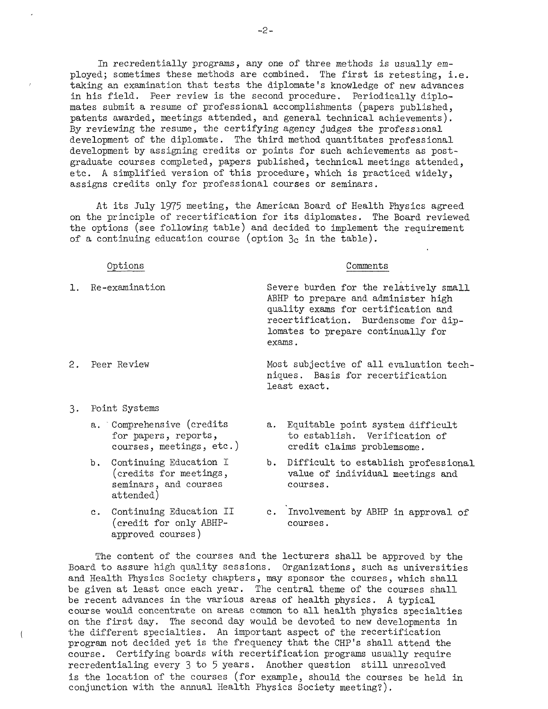In recredentially programs, any one of three methods is usually employed; sometimes these methods are combined. The first is retesting, i.e. taking an examination that tests the diplomate's knowledge of new advances in his field. Peer review is the second procedure. Periodically diplomates submit a resume of professional accomplishments (papers published, patents awarded, meetings attended, and general technical achievements). By reviewing the resume, the certifying agency judges the professional development of the diplomate. The third method quantitates professional development by assigning credits or points for such achievements as postgraduate courses completed, papers published, technical meetings attended, etc. A simplified version of this procedure, which is practiced widely, assigns credits only for professional courses or seminars.

At its July 1975 meeting, the American Board of Health Physics agreed on the principle of recertification for its diplomates. The Board reviewed the options (see following table) and decided to implement the requirement of a continuing education course (option  $3c$  in the table).

#### Options

#### Comments

- 1. Re-examination Severe burden for the relatively small ABHP to prepare and administer high quality exams for certification and recertification. Burdensome for diplomates to prepare continually for exams.
	- Most subjective of all evaluation techniques. Basis for recertification least exact.

3. Point Systems

2. Peer Review

- a. Comprehensive (credits for papers, reports, courses, meetings, etc.)
- b. Continuing Education I (credits for meetings, seminars, and courses attended)
- c. Continuing Education II (credit for only ABHPapproved courses)
- a. Equitable point system difficult to establish. Verification of credit claims problemsome.
- b. Difficult to establish professional value of individual meetings and courses.
- c. Involvement by ABHP in approval of courses.

The content of the courses and the lecturers shall be approved by the Board to assure high quality sessions. Organizations, such as universities and Health Physics Society chapters, may sponsor the courses, which shall be given at least once each year. The central theme of the courses shall be recent advances in the various areas of health physics. A typical course would concentrate on areas common to all health physics specialties on the first day. The second day would be devoted to new developments in the different specialties. An important aspect of the recertification program not decided yet is the frequency that the CHP's shall attend the course. Certifying boards with recertification programs usually require recredentialing every 3 to 5 years. Another question still unresolved is the location of the courses (for example, should the courses be held in conjunction with the annual Health Physics Society meeting?).